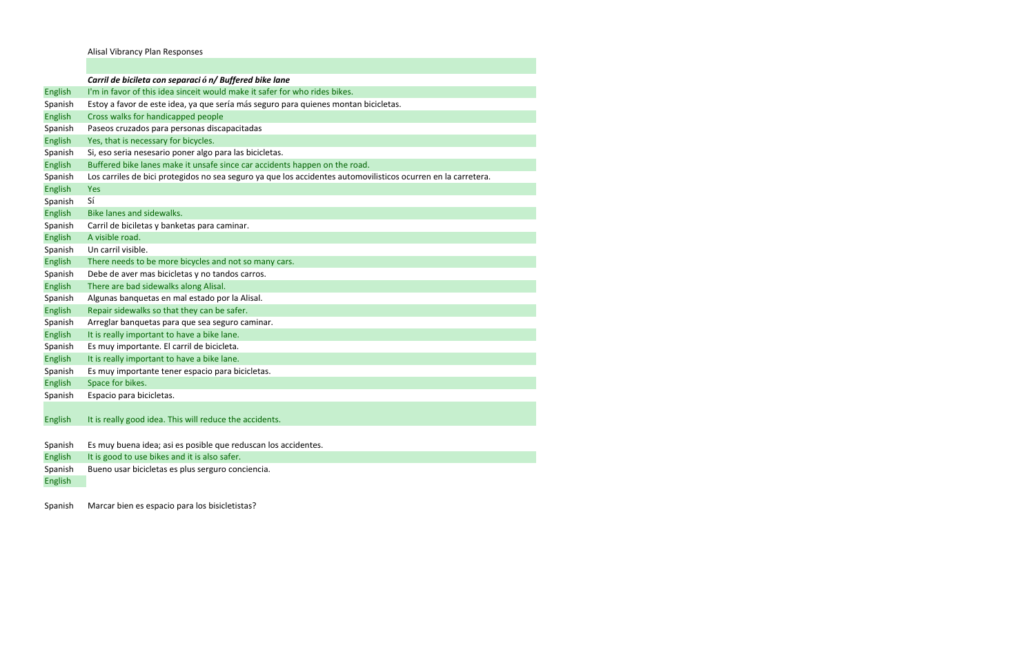Alisal Vibrancy Plan Responses

|                | Carril de bicileta con separació n/ Buffered bike lane                                                        |
|----------------|---------------------------------------------------------------------------------------------------------------|
| <b>English</b> | I'm in favor of this idea sinceit would make it safer for who rides bikes.                                    |
| Spanish        | Estoy a favor de este idea, ya que sería más seguro para quienes montan bicicletas.                           |
| <b>English</b> | Cross walks for handicapped people                                                                            |
| Spanish        | Paseos cruzados para personas discapacitadas                                                                  |
| <b>English</b> | Yes, that is necessary for bicycles.                                                                          |
| Spanish        | Si, eso seria nesesario poner algo para las bicicletas.                                                       |
| English        | Buffered bike lanes make it unsafe since car accidents happen on the road.                                    |
| Spanish        | Los carriles de bici protegidos no sea seguro ya que los accidentes automovilisticos ocurren en la carretera. |
| <b>English</b> | <b>Yes</b>                                                                                                    |
| Spanish        | Sí                                                                                                            |
| <b>English</b> | Bike lanes and sidewalks.                                                                                     |
| Spanish        | Carril de biciletas y banketas para caminar.                                                                  |
| English        | A visible road.                                                                                               |
| Spanish        | Un carril visible.                                                                                            |
| English        | There needs to be more bicycles and not so many cars.                                                         |
| Spanish        | Debe de aver mas bicicletas y no tandos carros.                                                               |
| <b>English</b> | There are bad sidewalks along Alisal.                                                                         |
| Spanish        | Algunas banquetas en mal estado por la Alisal.                                                                |
| <b>English</b> | Repair sidewalks so that they can be safer.                                                                   |
| Spanish        | Arreglar banquetas para que sea seguro caminar.                                                               |
| <b>English</b> | It is really important to have a bike lane.                                                                   |
| Spanish        | Es muy importante. El carril de bicicleta.                                                                    |
| English        | It is really important to have a bike lane.                                                                   |
| Spanish        | Es muy importante tener espacio para bicicletas.                                                              |
| <b>English</b> | Space for bikes.                                                                                              |
| Spanish        | Espacio para bicicletas.                                                                                      |
|                |                                                                                                               |
| <b>English</b> | It is really good idea. This will reduce the accidents.                                                       |
|                |                                                                                                               |
| Spanish        | Es muy buena idea; asi es posible que reduscan los accidentes.                                                |
| <b>English</b> | It is good to use bikes and it is also safer.                                                                 |
| Spanish        | Bueno usar bicicletas es plus serguro conciencia.                                                             |
| <b>English</b> |                                                                                                               |
|                |                                                                                                               |

Spanish Marcar bien es espacio para los bisicletistas?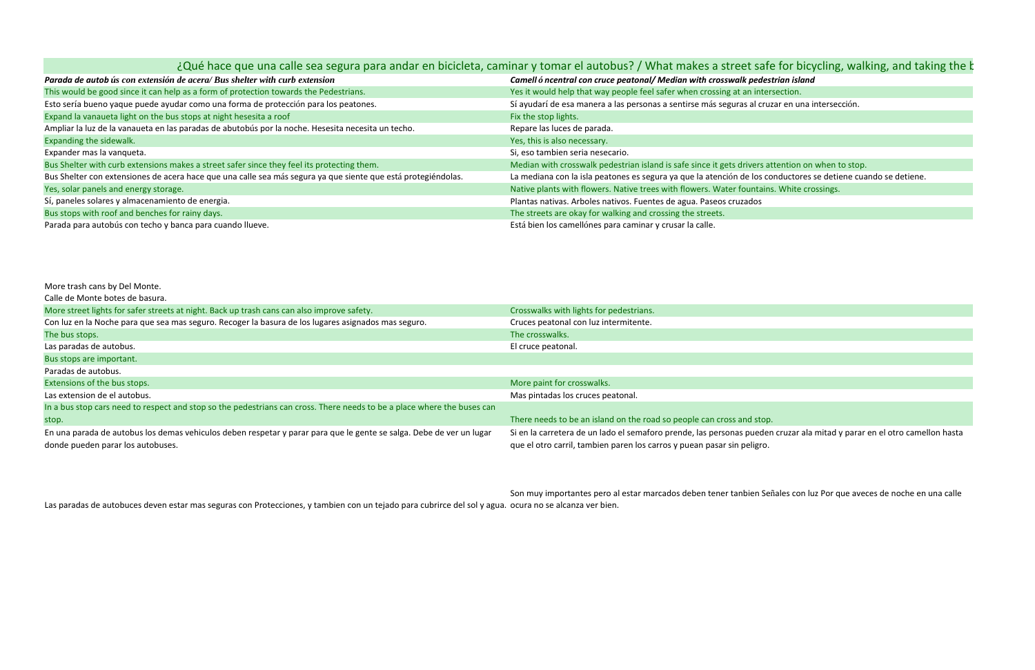|                                                                                                               | ¿Qué hace que una calle sea segura para andar en bicicleta, caminar y tomar el autobus? / What makes a street safe for bicycling |
|---------------------------------------------------------------------------------------------------------------|----------------------------------------------------------------------------------------------------------------------------------|
| Parada de autob ús con extensión de acera/ Bus shelter with curb extension                                    | Camell ó ncentral con cruce peatonal/ Median with crosswalk pedestrian island                                                    |
| This would be good since it can help as a form of protection towards the Pedestrians.                         | Yes it would help that way people feel safer when crossing at an intersection.                                                   |
| Esto sería bueno yaque puede ayudar como una forma de protección para los peatones.                           | Sí ayudarí de esa manera a las personas a sentirse más seguras al cruzar en una interse                                          |
| Expand la vanaueta light on the bus stops at night hesesita a roof                                            | Fix the stop lights.                                                                                                             |
| Ampliar la luz de la vanaueta en las paradas de abutobús por la noche. Hesesita necesita un techo.            | Repare las luces de parada.                                                                                                      |
| Expanding the sidewalk.                                                                                       | Yes, this is also necessary.                                                                                                     |
| Expander mas la vanqueta.                                                                                     | Si, eso tambien seria nesecario.                                                                                                 |
| Bus Shelter with curb extensions makes a street safer since they feel its protecting them.                    | Median with crosswalk pedestrian island is safe since it gets drivers attention on when                                          |
| Bus Shelter con extensiones de acera hace que una calle sea más segura ya que siente que está protegiéndolas. | La mediana con la isla peatones es segura ya que la atención de los conductores se deti                                          |
| Yes, solar panels and energy storage.                                                                         | Native plants with flowers. Native trees with flowers. Water fountains. White crossings.                                         |
| Sí, paneles solares y almacenamiento de energia.                                                              | Plantas nativas. Arboles nativos. Fuentes de agua. Paseos cruzados                                                               |
| Bus stops with roof and benches for rainy days.                                                               | The streets are okay for walking and crossing the streets.                                                                       |
| Parada para autobús con techo y banca para cuando llueve.                                                     | Está bien los camellónes para caminar y crusar la calle.                                                                         |

More trash cans by Del Monte.

Calle de Monte botes de basura.

| More street lights for safer streets at night. Back up trash cans can also improve safety.                                                                | Crosswalks with lights for pedestrians.                                                                                                          |
|-----------------------------------------------------------------------------------------------------------------------------------------------------------|--------------------------------------------------------------------------------------------------------------------------------------------------|
| Con luz en la Noche para que sea mas seguro. Recoger la basura de los lugares asignados mas seguro.                                                       | Cruces peatonal con luz intermitente.                                                                                                            |
| The bus stops.                                                                                                                                            | The crosswalks.                                                                                                                                  |
| Las paradas de autobus.                                                                                                                                   | El cruce peatonal.                                                                                                                               |
| Bus stops are important.                                                                                                                                  |                                                                                                                                                  |
| Paradas de autobus.                                                                                                                                       |                                                                                                                                                  |
| Extensions of the bus stops.                                                                                                                              | More paint for crosswalks.                                                                                                                       |
| Las extension de el autobus.                                                                                                                              | Mas pintadas los cruces peatonal.                                                                                                                |
| In a bus stop cars need to respect and stop so the pedestrians can cross. There needs to be a place where the buses can                                   |                                                                                                                                                  |
| stop.                                                                                                                                                     | There needs to be an island on the road so people can cross and stop.                                                                            |
| En una parada de autobus los demas vehiculos deben respetar y parar para que le gente se salga. Debe de ver un lugar<br>donde pueden parar los autobuses. | Si en la carretera de un lado el semaforo prende, las personas pueder<br>que el otro carril, tambien paren los carros y puean pasar sin peligro. |

Las paradas de autobuces deven estar mas seguras con Protecciones, y tambien con un tejado para cubrirce del sol y agua. ocura no se alcanza ver bien. Son muy importantes pero al estar marcados deben tener tanbien Señales con luz Por que aveces de noche en una calle

# $\mathsf{safe}$  for bicycling, walking, and taking the  $\mathsf k$

cruzar en una intersección.

s attention on when to stop. s conductores se detiene cuando se detiene.

eden cruzar ala mitad y parar en el otro camellon hasta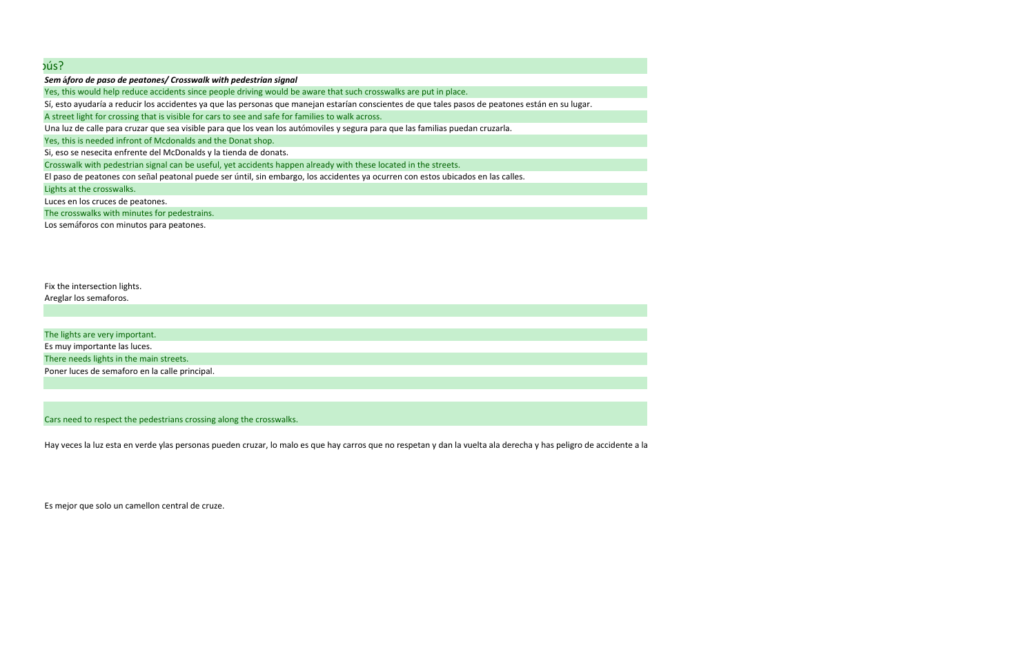*Sem* **á***foro de paso de peatones/ Crosswalk with pedestrian signal*

Yes, this would help reduce accidents since people driving would be aware that such crosswalks are put in place.

Sí, esto ayudaría <sup>a</sup> reducir los accidentes ya que las personas que manejan estarían conscientes de que tales pasos de peatones están en su lugar.

A street light for crossing that is visible for cars to see and safe for families to walk across.

Una luz de calle para cruzar que sea visible para que los vean los autómoviles y segura para que las familias puedan cruzarla.

Yes, this is needed infront of Mcdonalds and the Donat shop.

Si, eso se nesecita enfrente del McDonalds y la tienda de donats.

Crosswalk with pedestrian signal can be useful, yet accidents happen already with these located in the streets.

El paso de peatones con señal peatonal puede ser úntil, sin embargo, los accidentes ya ocurren con estos ubicados en las calles.

Lights at the crosswalks.

Luces en los cruces de peatones.

The crosswalks with minutes for pedestrains.

Los semáforos con minutos para peatones.

Fix the intersection lights. Areglar los semaforos.

The lights are very important. Es muy importante las luces. There needs lights in the main streets. Poner luces de semaforo en la calle principal.

### Cars need to respect the pedestrians crossing along the crosswalks.

Hay veces la luz esta en verde ylas personas pueden cruzar, lo malo es que hay carros que no respetan y dan la vuelta ala derecha y has peligro de accidente <sup>a</sup> la

Es mejor que solo un camellon central de cruze.

# bús?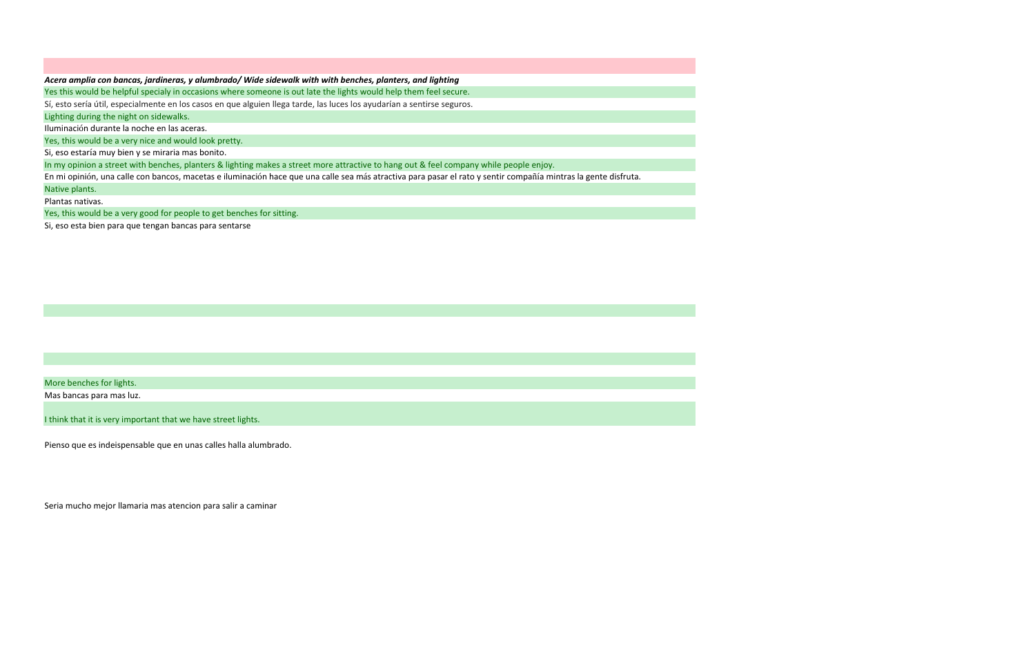#### *Acera amplia con bancas, jardineras, y alumbrado/ Wide sidewalk with with benches, planters, and lighting*

Yes this would be helpful specialy in occasions where someone is out late the lights would help them feel secure.

Sí, esto sería útil, especialmente en los casos en que alguien llega tarde, las luces los ayudarían <sup>a</sup> sentirse seguros.

Lighting during the night on sidewalks.

Iluminación durante la noche en las aceras.

Yes, this would be <sup>a</sup> very nice and would look pretty.

Si, eso estarí<sup>a</sup> muy bien y se miraria mas bonito.

In my opinion <sup>a</sup> street with benches, planters & lighting makes <sup>a</sup> street more attractive to hang out & feel company while people enjoy.

En mi opinión, una calle con bancos, macetas <sup>e</sup> iluminació<sup>n</sup> hace que una calle sea <sup>m</sup>á<sup>s</sup> atractiva para pasar el rato y sentir compañí<sup>a</sup> mintras la gente disfruta.

Native plants.

Plantas nativas.

Yes, this would be <sup>a</sup> very good for people to get benches for sitting.

Si, eso esta bien para que tengan bancas para sentarse

More benches for lights.

Mas bancas para mas luz.

think that it is very important that we have street lights.

Pienso que es indeispensable que en unas calles halla alumbrado.

Seria mucho mejor llamaria mas atencion para salir <sup>a</sup> caminar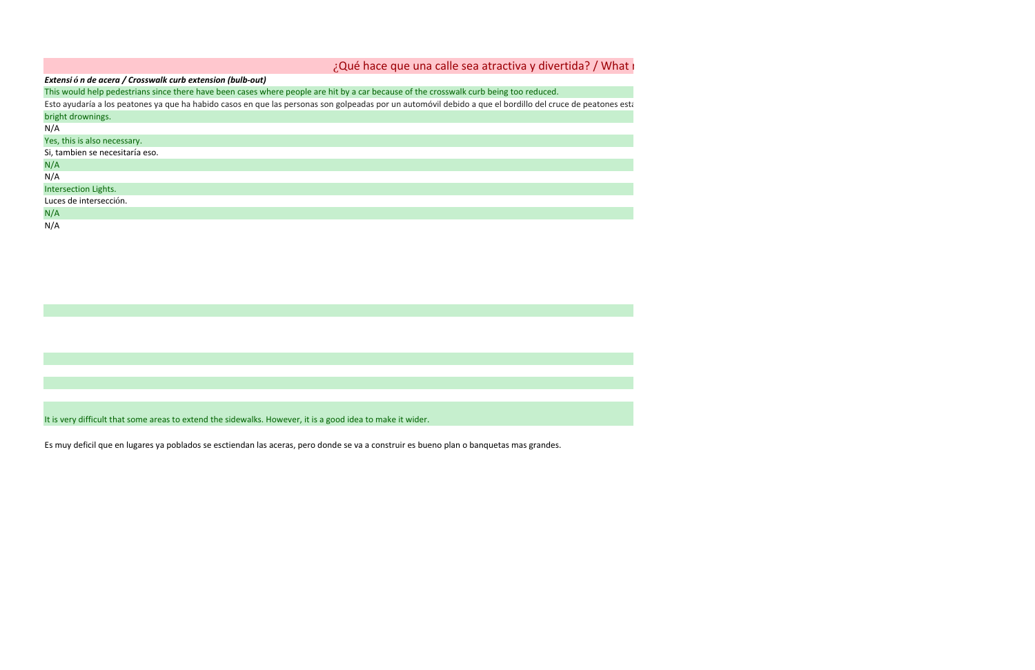| ¿Qué hace que una calle sea atractiva y divertida? / What i                                                                                                |  |  |  |
|------------------------------------------------------------------------------------------------------------------------------------------------------------|--|--|--|
| Extensión de acera / Crosswalk curb extension (bulb-out)                                                                                                   |  |  |  |
| This would help pedestrians since there have been cases where people are hit by a car because of the crosswalk curb being too reduced.                     |  |  |  |
| Esto ayudaría a los peatones ya que ha habido casos en que las personas son golpeadas por un automóvil debido a que el bordillo del cruce de peatones esta |  |  |  |
| bright drownings.                                                                                                                                          |  |  |  |
| N/A                                                                                                                                                        |  |  |  |
| Yes, this is also necessary.                                                                                                                               |  |  |  |
| Si, tambien se necesitaría eso.                                                                                                                            |  |  |  |
| N/A                                                                                                                                                        |  |  |  |
| N/A                                                                                                                                                        |  |  |  |
| Intersection Lights.                                                                                                                                       |  |  |  |
| Luces de intersección.                                                                                                                                     |  |  |  |
| N/A                                                                                                                                                        |  |  |  |
| N/A                                                                                                                                                        |  |  |  |

It is very difficult that some areas to extend the sidewalks. However, it is <sup>a</sup> good idea to make it wider.

Es muy deficil que en lugares ya poblados se esctiendan las aceras, pero donde se va <sup>a</sup> construir es bueno plan <sup>o</sup> banquetas mas grandes.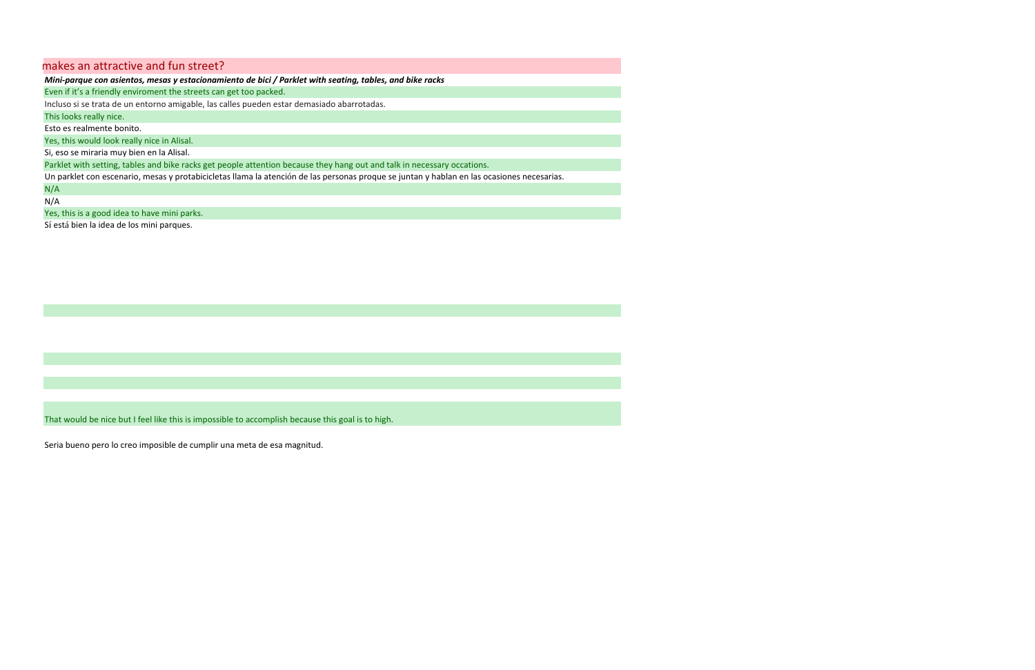Even if it's <sup>a</sup> friendly enviroment the streets can get too packed.

Incluso si se trata de un entorno amigable, las calles pueden estar demasiado abarrotadas.

This looks really nice.

Esto es realmente bonito.

Yes, this would look really nice in Alisal.

Si, eso se miraria muy bien en la Alisal.

Parklet with setting, tables and bike racks get people attention because they hang out and talk in necessary occations.

Un parklet con escenario, mesas y protabicicletas llama la atenció<sup>n</sup> de las personas proque se juntan y hablan en las ocasiones necesarias.

N/A

 $N/A$ 

Yes, this is <sup>a</sup> good idea to have mini parks.

Sí está bien la idea de los mini parques.

That would be nice but I feel like this is impossible to accomplish because this goal is to high.

Seria bueno pero lo creo imposible de cumplir una meta de esa magnitud.

## makes an attractive and fun street?

Mini-parque con asientos, mesas y estacionamiento de bici / Parklet with seating, tables, and bike racks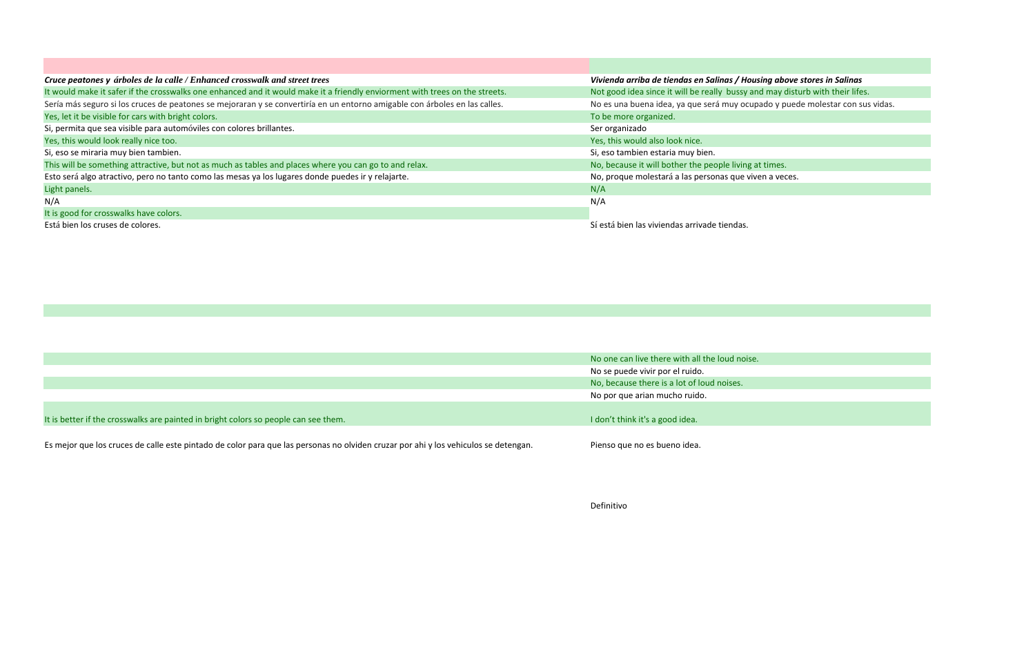| Cruce peatones y árboles de la calle / Enhanced crosswalk and street trees                                                  | Vivienda arriba de tiendas en Salinas / Housing above    |  |
|-----------------------------------------------------------------------------------------------------------------------------|----------------------------------------------------------|--|
| It would make it safer if the crosswalks one enhanced and it would make it a friendly enviorment with trees on the streets. | Not good idea since it will be really bussy and may dist |  |
| Sería más seguro si los cruces de peatones se mejoraran y se convertiría en un entorno amigable con árboles en las calles.  | No es una buena idea, ya que será muy ocupado y pued     |  |
| Yes, let it be visible for cars with bright colors.                                                                         | To be more organized.                                    |  |
| Si, permita que sea visible para automóviles con colores brillantes.                                                        | Ser organizado                                           |  |
| Yes, this would look really nice too.                                                                                       | Yes, this would also look nice.                          |  |
| Si, eso se miraria muy bien tambien.                                                                                        | Si, eso tambien estaria muy bien.                        |  |
| This will be something attractive, but not as much as tables and places where you can go to and relax.                      | No, because it will bother the people living at times.   |  |
| Esto será algo atractivo, pero no tanto como las mesas ya los lugares donde puedes ir y relajarte.                          | No, proque molestará a las personas que viven a veces.   |  |
| Light panels.                                                                                                               | N/A                                                      |  |
| N/A                                                                                                                         | N/A                                                      |  |
| It is good for crosswalks have colors.                                                                                      |                                                          |  |
| Está bien los cruses de colores.                                                                                            | Sí está bien las viviendas arrivade tiendas.             |  |
|                                                                                                                             |                                                          |  |

 $\mathcal{L}^{\text{max}}$ 

|                                                                                                                                     | No one can live there with all the loud noise. |
|-------------------------------------------------------------------------------------------------------------------------------------|------------------------------------------------|
|                                                                                                                                     | No se puede vivir por el ruido.                |
|                                                                                                                                     | No, because there is a lot of loud noises.     |
|                                                                                                                                     | No por que arian mucho ruido.                  |
| It is better if the crosswalks are painted in bright colors so people can see them.                                                 | I don't think it's a good idea.                |
| Es mejor que los cruces de calle este pintado de color para que las personas no olviden cruzar por ahi y los vehiculos se detengan. | Pienso que no es bueno idea.                   |

Definitivo

sing above stores in Salinas d may disturb with their lifes. ado y puede molestar con sus vidas.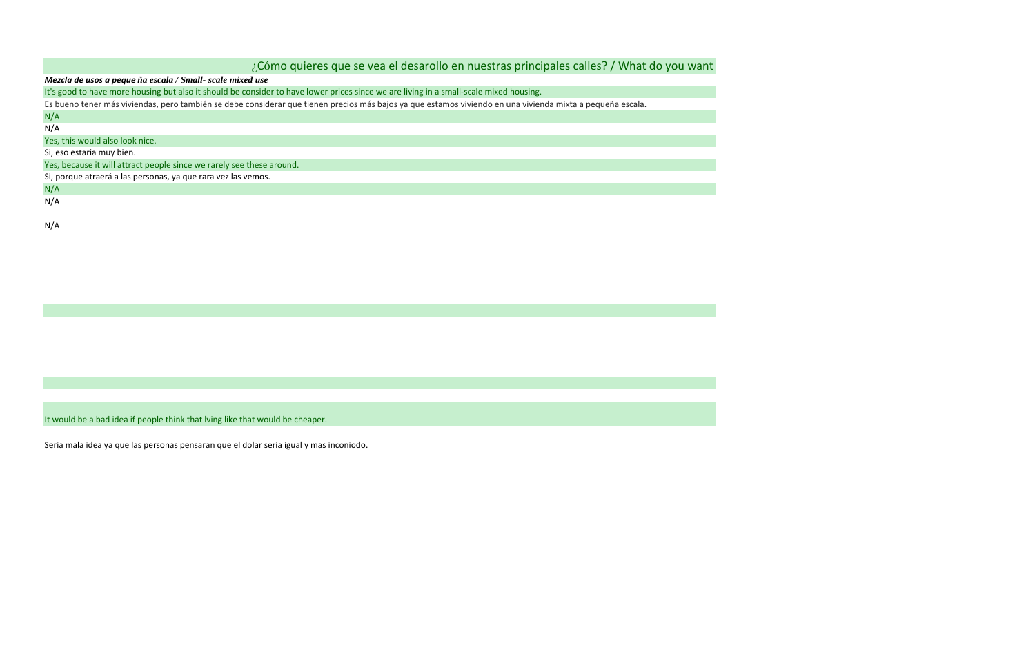| ¿Cómo quieres que se vea el desarollo en nuestras principales calles? / What do you want                                                                   |  |  |  |
|------------------------------------------------------------------------------------------------------------------------------------------------------------|--|--|--|
| Mezcla de usos a peque ña escala / Small- scale mixed use                                                                                                  |  |  |  |
| It's good to have more housing but also it should be consider to have lower prices since we are living in a small-scale mixed housing.                     |  |  |  |
| Es bueno tener más viviendas, pero también se debe considerar que tienen precios más bajos ya que estamos viviendo en una vivienda mixta a pequeña escala. |  |  |  |
| N/A                                                                                                                                                        |  |  |  |
| N/A                                                                                                                                                        |  |  |  |
| Yes, this would also look nice.                                                                                                                            |  |  |  |
| Si, eso estaria muy bien.                                                                                                                                  |  |  |  |
| Yes, because it will attract people since we rarely see these around.                                                                                      |  |  |  |
| Si, porque atraerá a las personas, ya que rara vez las vemos.                                                                                              |  |  |  |
| N/A                                                                                                                                                        |  |  |  |
| N/A                                                                                                                                                        |  |  |  |
|                                                                                                                                                            |  |  |  |
| N/A                                                                                                                                                        |  |  |  |

It would be <sup>a</sup> bad idea if people think that lving like that would be cheaper.

Seria mala idea ya que las personas pensaran que el dolar seria igual y mas inconiodo.